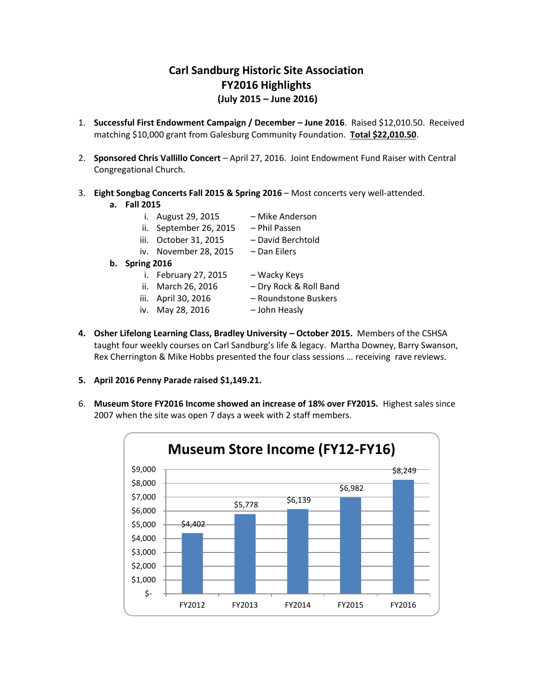## **Carl Sandburg Historic Site Association FY2016 Highlights (July 2015 – June 2016)**

- 1. **Successful First Endowment Campaign / December – June 2016**. Raised \$12,010.50. Received matching \$10,000 grant from Galesburg Community Foundation. **Total \$22,010.50**.
- 2. **Sponsored Chris Vallillo Concert** April 27, 2016. Joint Endowment Fund Raiser with Central Congregational Church.
- 3. **Eight Songbag Concerts Fall 2015 & Spring 2016** Most concerts very well-attended.
	- **a. Fall 2015**
		- i. August 29, 2015 Mike Anderson
		- ii. September 26, 2015 Phil Passen
		- iii. October 31, 2015 David Berchtold
		- iv. November 28, 2015 Dan Eilers
	- **b. Spring 2016**
		- i. February 27, 2015 Wacky Keys
		- ii. March 26, 2016 Dry Rock & Roll Band
		-
		- iv. May 28, 2016 John Heasly
- - iii. April 30, 2016 Roundstone Buskers
		-
- **4. Osher Lifelong Learning Class, Bradley University – October 2015.** Members of the CSHSA taught four weekly courses on Carl Sandburg's life & legacy. Martha Downey, Barry Swanson, Rex Cherrington & Mike Hobbs presented the four class sessions … receiving rave reviews.
- **5. April 2016 Penny Parade raised \$1,149.21.**
- 6. **Museum Store FY2016 Income showed an increase of 18% over FY2015.** Highest sales since 2007 when the site was open 7 days a week with 2 staff members.